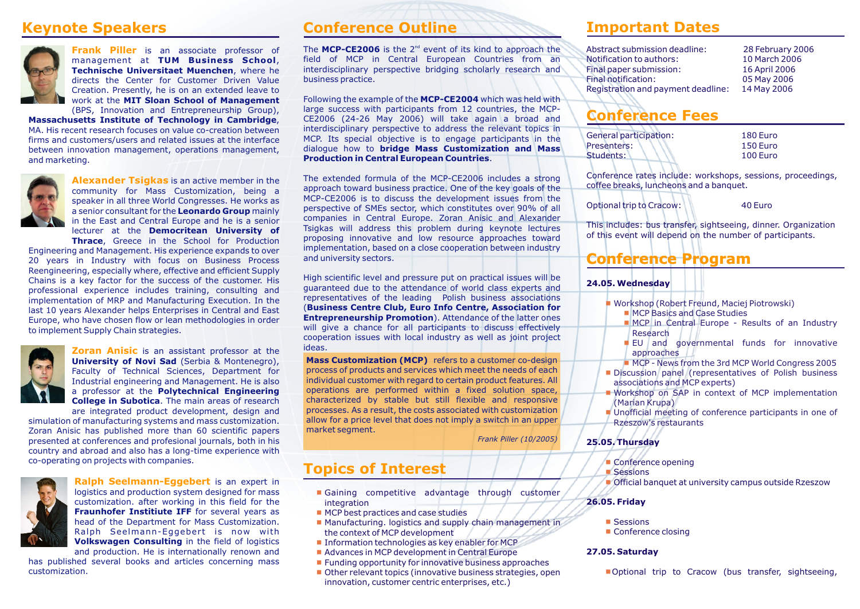

**Frank Piller** is an associate professor of management at **TUM Business School**, **Technische Universitaet Muenchen**, where he directs the Center for Customer Driven Value Creation. Presently, he is on an extended leave to work at the **MIT Sloan School of Management** (BPS, Innovation and Entrepreneurship Group),

**Massachusetts Institute of Technology in Cambridge**, MA. His recent research focuses on value co-creation between firms and customers/users and related issues at the interface between innovation management, operations management, and marketing.



**Alexander Tsigkas** is an active member in the community for Mass Customization, being a speaker in all three World Congresses. He works as a senior consultant for the **Leonardo Group** mainly in the East and Central Europe and he is a senior lecturer at the **Democritean University of Thrace**, Greece in the School for Production

Engineering and Management. His experience expands to over 20 years in Industry with focus on Business Process Reengineering, especially where, effective and efficient Supply Chains is a key factor for the success of the customer. His professional experience includes training, consulting and implementation of MRP and Manufacturing Execution. In the last 10 years Alexander helps Enterprises in Central and East Europe, who have chosen flow or lean methodologies in order to implement Supply Chain strategies.



**Zoran Anisic** is an assistant professor at the **University of Novi Sad** (Serbia & Montenegro), Faculty of Technical Sciences, Department for Industrial engineering and Management. He is also a professor at the **Polytechnical Engineering College in Subotica**. The main areas of research are integrated product development, design and

simulation of manufacturing systems and mass customization. Zoran Anisic has published more than 60 scientific papers presented at conferences and profesional journals, both in his country and abroad and also has a long-time experience with co-operating on projects with companies.



**Ralph Seelmann-Eggebert** is an expert in logistics and production system designed for mass customization. after working in this field for the **Fraunhofer Institiute IFF** for several years as head of the Department for Mass Customization. Ralph Seelmann-Eggebert is now with **Volkswagen Consulting** in the field of logistics and production. He is internationally renown and

has published several books and articles concerning mass customization.

### **Keynote Speakers Conference Outline**

The MCP-CE2006 is the 2<sup>nd</sup> event of its kind to approach the field of MCP in Central European Countries from an interdisciplinary perspective bridging scholarly research and business practice.

Following the example of the **MCP-CE2004** which was held with large success with participants from 12 countries, the MCP-CE2006 (24-26 May 2006) will take again a broad and interdisciplinary perspective to address the relevant topics in MCP. Its special objective is to engage participants in the dialogue how to **bridge Mass Customization and Mass Production in Central European Countries**.

The extended formula of the MCP-CE2006 includes a strong approach toward business practice. One of the key goals of the MCP-CE2006 is to discuss the development issues from the perspective of SMEs sector, which constitutes over 90% of all companies in Central Europe. Zoran Anisic and Alexander Tsigkas will address this problem during keynote lectures proposing innovative and low resource approaches toward implementation, based on a close cooperation between industry and university sectors.

High scientific level and pressure put on practical issues will be guaranteed due to the attendance of world class experts and representatives of the leading Polish business associations (**Business Centre Club, Euro Info Centre, Association for Entrepreneurship Promotion**). Attendance of the latter ones will give a chance for all participants to discuss effectively cooperation issues with local industry as well as joint project ideas.

**Mass Customization (MCP)** refers to a customer co-design process of products and services which meet the needs of each individual customer with regard to certain product features. All operations are performed within a fixed solution space, characterized by stable but still flexible and responsive processes. As a result, the costs associated with customization allow for a price level that does not imply a switch in an upper market segment.

 *Frank Piller (10/2005)*

## **Topics of Interest**

- Gaining competitive advantage through customer integration
- MCP best practices and case studies
- Manufacturing. logistics and supply chain management in the context of MCP development
- Information technologies as key enabler for MCP
- Advances in MCP development in Central Europe
- Funding opportunity for innovative business approaches
- Other relevant topics (innovative business strategies, open innovation, customer centric enterprises, etc.)

### **Important Dates**

| Abstract submission deadline:      | 28 February 2006 |
|------------------------------------|------------------|
| Notification to authors:           | 10 March 2006    |
| Final paper submission:            | 16 April 2006    |
| Final notification:                | 05 May 2006      |
| Registration and payment deadline: | 14 May 2006      |

### **Conference Fees**

| General participation: | 180 Euro |
|------------------------|----------|
| Presenters:            | 150 Euro |
| Students:              | 100 Euro |

Conference rates include: workshops, sessions, proceedings, coffee breaks, luncheons and a banquet.

Optional trip to Cracow: 40 Euro

This includes: bus transfer, sightseeing, dinner. Organization of this event will depend on the number of participants.

### **Conference Program**

#### **24.05. Wednesday**

- Workshop (Robert Freund, Maciej Piotrowski)
	- MCP Basics and Case Studies
	- **NCP** in Central Europe Results of an Industry Research
	- **EU** and governmental funds for innovative approaches
	- MCP News from the 3rd MCP World Congress 2005
- **Discussion panel (representatives of Polish business** associations and MCP experts)
- Workshop on SAP in context of MCP implementation (Marian Krupa)
- Unofficial meeting of conference participants in one of Rzeszow's restaurants

#### **25.05. Thursday**

- Conference opening
- Sessions

■ Official banquet at university campus outside Rzeszow

#### **26.05. Friday**

- Sessions
- Conference closing

#### **27.05. Saturday**

Optional trip to Cracow (bus transfer, sightseeing,